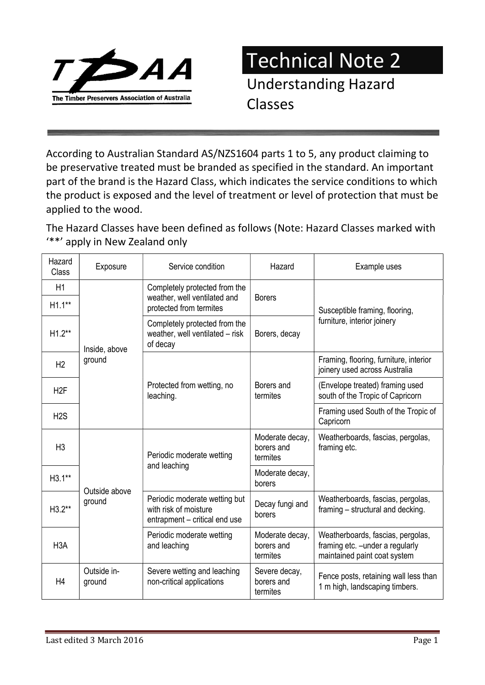

## Technical Note 2 Understanding Hazard Classes

According to Australian Standard AS/NZS1604 parts 1 to 5, any product claiming to be preservative treated must be branded as specified in the standard. An important part of the brand is the Hazard Class, which indicates the service conditions to which the product is exposed and the level of treatment or level of protection that must be applied to the wood.

The Hazard Classes have been defined as follows (Note: Hazard Classes marked with '\*\*' apply in New Zealand only

| Hazard<br>Class  | Exposure                | Service condition                                                                        | Hazard                                    | Example uses                                                                                          |
|------------------|-------------------------|------------------------------------------------------------------------------------------|-------------------------------------------|-------------------------------------------------------------------------------------------------------|
| H1               | Inside, above<br>ground | Completely protected from the<br>weather, well ventilated and<br>protected from termites | <b>Borers</b>                             | Susceptible framing, flooring,<br>furniture, interior joinery                                         |
| $H1.1***$        |                         |                                                                                          |                                           |                                                                                                       |
| $H1.2**$         |                         | Completely protected from the<br>weather, well ventilated - risk<br>of decay             | Borers, decay                             |                                                                                                       |
| H2               |                         | Protected from wetting, no<br>leaching.                                                  | Borers and<br>termites                    | Framing, flooring, furniture, interior<br>joinery used across Australia                               |
| H <sub>2F</sub>  |                         |                                                                                          |                                           | (Envelope treated) framing used<br>south of the Tropic of Capricorn                                   |
| H <sub>2</sub> S |                         |                                                                                          |                                           | Framing used South of the Tropic of<br>Capricorn                                                      |
| H <sub>3</sub>   | Outside above<br>ground | Periodic moderate wetting<br>and leaching                                                | Moderate decay,<br>borers and<br>termites | Weatherboards, fascias, pergolas,<br>framing etc.                                                     |
| $H3.1***$        |                         |                                                                                          | Moderate decay,<br>borers                 |                                                                                                       |
| $H3.2**$         |                         | Periodic moderate wetting but<br>with risk of moisture<br>entrapment - critical end use  | Decay fungi and<br>borers                 | Weatherboards, fascias, pergolas,<br>framing - structural and decking.                                |
| H <sub>3</sub> A |                         | Periodic moderate wetting<br>and leaching                                                | Moderate decay,<br>borers and<br>termites | Weatherboards, fascias, pergolas,<br>framing etc. - under a regularly<br>maintained paint coat system |
| H4               | Outside in-<br>ground   | Severe wetting and leaching<br>non-critical applications                                 | Severe decay,<br>borers and<br>termites   | Fence posts, retaining wall less than<br>1 m high, landscaping timbers.                               |